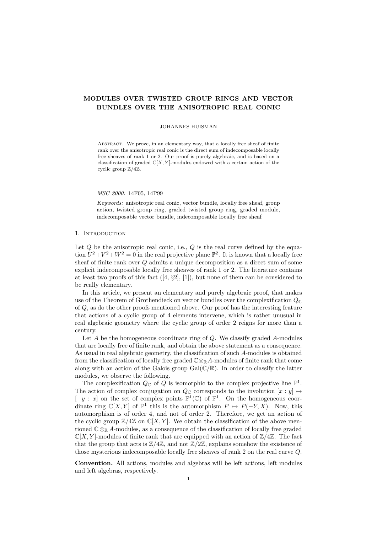# MODULES OVER TWISTED GROUP RINGS AND VECTOR BUNDLES OVER THE ANISOTROPIC REAL CONIC

### JOHANNES HUISMAN

ABSTRACT. We prove, in an elementary way, that a locally free sheaf of finite rank over the anisotropic real conic is the direct sum of indecomposable locally free sheaves of rank 1 or 2. Our proof is purely algebraic, and is based on a classification of graded  $\mathbb{C}[X, Y]$ -modules endowed with a certain action of the cyclic group  $\mathbb{Z}/4\mathbb{Z}$ .

MSC 2000: 14F05, 14P99

Keywords: anisotropic real conic, vector bundle, locally free sheaf, group action, twisted group ring, graded twisted group ring, graded module, indecomposable vector bundle, indecomposable locally free sheaf

## 1. INTRODUCTION

Let  $Q$  be the anisotropic real conic, i.e.,  $Q$  is the real curve defined by the equation  $U^2 + V^2 + W^2 = 0$  in the real projective plane  $\mathbb{P}^2$ . It is known that a locally free sheaf of finite rank over Q admits a unique decomposition as a direct sum of some explicit indecomposable locally free sheaves of rank 1 or 2. The literature contains at least two proofs of this fact  $([4, \S2], [1])$ , but none of them can be considered to be really elementary.

In this article, we present an elementary and purely algebraic proof, that makes use of the Theorem of Grothendieck on vector bundles over the complexification  $Q_{\mathbb{C}}$ of Q, as do the other proofs mentioned above. Our proof has the interesting feature that actions of a cyclic group of 4 elements intervene, which is rather unusual in real algebraic geometry where the cyclic group of order 2 reigns for more than a century.

Let  $A$  be the homogeneous coordinate ring of  $Q$ . We classify graded  $A$ -modules that are locally free of finite rank, and obtain the above statement as a consequence. As usual in real algebraic geometry, the classification of such A-modules is obtained from the classification of locally free graded  $\mathbb{C} \otimes_{\mathbb{R}} A$ -modules of finite rank that come along with an action of the Galois group  $Gal(\mathbb{C}/\mathbb{R})$ . In order to classify the latter modules, we observe the following.

The complexification  $Q_{\mathbb{C}}$  of  $\tilde{Q}$  is isomorphic to the complex projective line  $\mathbb{P}^1$ . The action of complex conjugation on  $Q_{\mathbb{C}}$  corresponds to the involution  $[x : y] \mapsto$  $[-\overline{y} : \overline{x}]$  on the set of complex points  $\mathbb{P}^1(\mathbb{C})$  of  $\mathbb{P}^1$ . On the homogeneous coordinate ring  $\mathbb{C}[X, Y]$  of  $\mathbb{P}^1$  this is the automorphism  $P \mapsto \overline{P}(-Y, X)$ . Now, this automorphism is of order 4, and not of order 2. Therefore, we get an action of the cyclic group  $\mathbb{Z}/4\mathbb{Z}$  on  $\mathbb{C}[X, Y]$ . We obtain the classification of the above mentioned  $\mathbb{C} \otimes_{\mathbb{R}} A$ -modules, as a consequence of the classification of locally free graded  $\mathbb{C}[X, Y]$ -modules of finite rank that are equipped with an action of  $\mathbb{Z}/4\mathbb{Z}$ . The fact that the group that acts is  $\mathbb{Z}/4\mathbb{Z}$ , and not  $\mathbb{Z}/2\mathbb{Z}$ , explains somehow the existence of those mysterious indecomposable locally free sheaves of rank 2 on the real curve Q.

Convention. All actions, modules and algebras will be left actions, left modules and left algebras, respectively.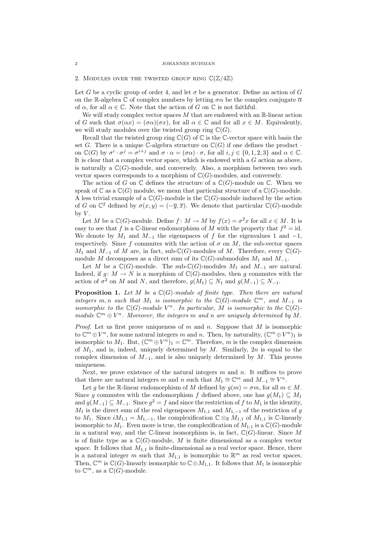#### 2. MODULES OVER THE TWISTED GROUP RING  $\mathbb{C}(\mathbb{Z}/4\mathbb{Z})$

Let G be a cyclic group of order 4, and let  $\sigma$  be a generator. Define an action of G on the R-algebra C of complex numbers by letting  $\sigma \alpha$  be the complex conjugate  $\overline{\alpha}$ of  $\alpha$ , for all  $\alpha \in \mathbb{C}$ . Note that the action of G on  $\mathbb{C}$  is not faithful.

We will study complex vector spaces  $M$  that are endowed with an  $\mathbb{R}$ -linear action of G such that  $\sigma(\alpha x) = (\sigma \alpha)(\sigma x)$ , for all  $\alpha \in \mathbb{C}$  and for all  $x \in M$ . Equivalently, we will study modules over the twisted group ring  $\mathbb{C}(G)$ .

Recall that the twisted group ring  $\mathbb{C}(G)$  of  $\mathbb{C}$  is the C-vector space with basis the set G. There is a unique C-algebra structure on  $\mathbb{C}(G)$  if one defines the product on  $\mathbb{C}(G)$  by  $\sigma^i \cdot \sigma^j = \sigma^{i+j}$  and  $\sigma \cdot \alpha = (\sigma \alpha) \cdot \sigma$ , for all  $i, j \in \{0, 1, 2, 3\}$  and  $\alpha \in \mathbb{C}$ . It is clear that a complex vector space, which is endowed with a G action as above, is naturally a  $\mathbb{C}(G)$ -module, and conversely. Also, a morphism between two such vector spaces corresponds to a morphism of  $\mathbb{C}(G)$ -modules, and conversely.

The action of G on  $\mathbb C$  defines the structure of a  $\mathbb C(G)$ -module on  $\mathbb C$ . When we speak of  $\mathbb C$  as a  $\mathbb C(G)$  module, we mean that particular structure of a  $\mathbb C(G)$ -module. A less trivial example of a  $\mathbb{C}(G)$ -module is the  $\mathbb{C}(G)$ -module induced by the action of G on  $\mathbb{C}^2$  defined by  $\sigma(x,y) = (-\overline{y}, \overline{x})$ . We denote that particular  $\mathbb{C}(G)$ -module by  $V$ .

Let M be a  $\mathbb{C}(G)$ -module. Define  $f: M \to M$  by  $f(x) = \sigma^2 x$  for all  $x \in M$ . It is easy to see that f is a C-linear endomorphism of M with the property that  $f^2 = id$ . We denote by  $M_1$  and  $M_{-1}$  the eigenspaces of f for the eigenvalues 1 and  $-1$ , respectively. Since f commutes with the action of  $\sigma$  on M, the sub-vector spaces  $M_1$  and  $M_{-1}$  of M are, in fact, sub- $\mathbb{C}(G)$ -modules of M. Therefore, every  $\mathbb{C}(G)$ module M decomposes as a direct sum of its  $\mathbb{C}(G)$ -submodules  $M_1$  and  $M_{-1}$ .

Let M be a  $\mathbb{C}(G)$ -module. The sub- $\mathbb{C}(G)$ -modules  $M_1$  and  $M_{-1}$  are natural. Indeed, if  $q: M \to N$  is a morphism of  $\mathbb{C}(G)$ -modules, then q commutes with the action of  $\sigma^2$  on M and N, and therefore,  $g(M_1) \subseteq N_1$  and  $g(M_{-1}) \subseteq N_{-1}$ .

**Proposition 1.** Let M be a  $\mathbb{C}(G)$ -module of finite type. Then there are natural integers  $m, n$  such that  $M_1$  is isomorphic to the  $\mathbb{C}(G)$ -module  $\mathbb{C}^m$ , and  $M_{-1}$  is isomorphic to the  $\mathbb{C}(G)$ -module  $V^n$ . In particular, M is isomorphic to the  $\mathbb{C}(G)$ module  $\mathbb{C}^m \oplus V^n$ . Moreover, the integers m and n are uniquely determined by M.

*Proof.* Let us first prove uniqueness of m and n. Suppose that M is isomorphic to  $\mathbb{C}^m \oplus V^n$ , for some natural integers m and n. Then, by naturality,  $(\mathbb{C}^m \oplus V^n)_1$  is isomorphic to  $M_1$ . But,  $(\mathbb{C}^m \oplus V^n)_1 = \mathbb{C}^m$ . Therefore, m is the complex dimension of  $M_1$ , and is, indeed, uniquely determined by  $M$ . Similarly,  $2n$  is equal to the complex dimension of  $M_{-1}$ , and is also uniquely determined by M. This proves uniqueness.

Next, we prove existence of the natural integers  $m$  and  $n$ . It suffices to prove that there are natural integers m and n such that  $M_1 \cong \mathbb{C}^m$  and  $M_{-1} \cong V^n$ .

Let g be the R-linear endomorphism of M defined by  $g(m) = \sigma m$ , for all  $m \in M$ . Since g commutes with the endomorphism f defined above, one has  $g(M_1) \subseteq M_1$ and  $g(M_{-1}) \subseteq M_{-1}$ . Since  $g^2 = f$  and since the restriction of f to  $M_1$  is the identity,  $M_1$  is the direct sum of the real eigenspaces  $M_{1,1}$  and  $M_{1,-1}$  of the restriction of g to  $M_1$ . Since  $iM_{1,1} = M_{1,-1}$ , the complexification  $\mathbb{C} \otimes_{\mathbb{R}} M_{1,1}$  of  $M_{1,1}$  is  $\mathbb{C}$ -linearly isomorphic to  $M_1$ . Even more is true, the complexification of  $M_{1,1}$  is a  $\mathbb{C}(G)$ -module in a natural way, and the C-linear isomorphism is, in fact,  $\mathbb{C}(G)$ -linear. Since M is of finite type as a  $\mathbb{C}(G)$ -module, M is finite dimensional as a complex vector space. It follows that  $M_{1,1}$  is finite-dimensional as a real vector space. Hence, there is a natural integer m such that  $M_{1,1}$  is isomorphic to  $\mathbb{R}^m$  as real vector spaces. Then,  $\mathbb{C}^m$  is  $\mathbb{C}(G)$ -linearly isomorphic to  $\mathbb{C} \otimes M_{1,1}$ . It follows that  $M_1$  is isomorphic to  $\mathbb{C}^m$ , as a  $\mathbb{C}(G)$ -module.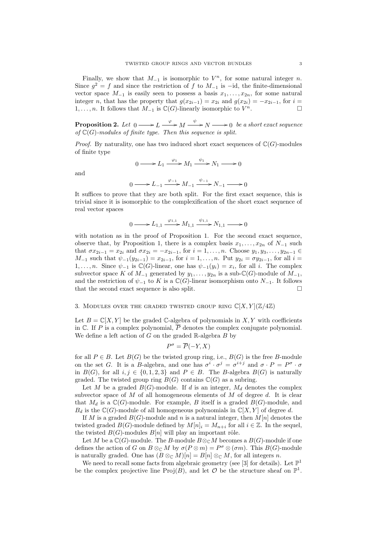Finally, we show that  $M_{-1}$  is isomorphic to  $V^n$ , for some natural integer n. Since  $g^2 = f$  and since the restriction of f to  $M_{-1}$  is  $-i$ d, the finite-dimensional vector space  $M_{-1}$  is easily seen to possess a basis  $x_1, \ldots, x_{2n}$ , for some natural integer n, that has the property that  $g(x_{2i-1}) = x_{2i}$  and  $g(x_{2i}) = -x_{2i-1}$ , for  $i =$  $1, \ldots, n$ . It follows that  $M_{-1}$  is  $\mathbb{C}(G)$ -linearly isomorphic to  $V^n$ .  $n$ .

**Proposition 2.** Let  $0 \longrightarrow L \stackrel{\varphi}{\longrightarrow} M \stackrel{\psi}{\longrightarrow} N \longrightarrow 0$  be a short exact sequence of  $\mathbb{C}(G)$ -modules of finite type. Then this sequence is split.

*Proof.* By naturality, one has two induced short exact sequences of  $\mathbb{C}(G)$ -modules of finite type

$$
0 \longrightarrow L_1 \xrightarrow{\varphi_1} M_1 \xrightarrow{\psi_1} N_1 \longrightarrow 0
$$

and

$$
0 \longrightarrow L_{-1} \xrightarrow{\varphi_{-1}} M_{-1} \xrightarrow{\psi_{-1}} N_{-1} \longrightarrow 0
$$

It suffices to prove that they are both split. For the first exact sequence, this is trivial since it is isomorphic to the complexification of the short exact sequence of real vector spaces

$$
0 \longrightarrow L_{1,1} \xrightarrow{\varphi_{1,1}} M_{1,1} \xrightarrow{\psi_{1,1}} N_{1,1} \longrightarrow 0
$$

with notation as in the proof of Proposition 1. For the second exact sequence, observe that, by Proposition 1, there is a complex basis  $x_1, \ldots, x_{2n}$  of  $N_{-1}$  such that  $\sigma x_{2i-1} = x_{2i}$  and  $\sigma x_{2i} = -x_{2i-1}$ , for  $i = 1, ..., n$ . Choose  $y_1, y_3, ..., y_{2n-1} \in$  $M_{-1}$  such that  $\psi_{-1}(y_{2i-1}) = x_{2i-1}$ , for  $i = 1, ..., n$ . Put  $y_{2i} = \sigma y_{2i-1}$ , for all  $i =$ 1,..., *n*. Since  $\psi_{-1}$  is  $\mathbb{C}(G)$ -linear, one has  $\psi_{-1}(y_i) = x_i$ , for all i. The complex subvector space K of  $M_{-1}$  generated by  $y_1, \ldots, y_{2n}$  is a sub- $\mathbb{C}(G)$ -module of  $M_{-1}$ , and the restriction of  $\psi_{-1}$  to K is a  $\mathbb{C}(G)$ -linear isomorphism onto  $N_{-1}$ . It follows that the second exact sequence is also split.  $\Box$ 

### 3. MODULES OVER THE GRADED TWISTED GROUP RING  $\mathbb{C}[X, Y](\mathbb{Z}/4\mathbb{Z})$

Let  $B = \mathbb{C}[X, Y]$  be the graded C-algebra of polynomials in X, Y with coefficients in C. If P is a complex polynomial,  $\overline{P}$  denotes the complex conjugate polynomial. We define a left action of  $G$  on the graded  $\mathbb{R}$ -algebra  $B$  by

$$
P^{\sigma} = \overline{P}(-Y, X)
$$

for all  $P \in B$ . Let  $B(G)$  be the twisted group ring, i.e.,  $B(G)$  is the free B-module on the set G. It is a B-algebra, and one has  $\sigma^i \cdot \sigma^j = \sigma^{i+j}$  and  $\sigma \cdot P = P^{\sigma} \cdot \sigma^j$ in  $B(G)$ , for all  $i, j \in \{0, 1, 2, 3\}$  and  $P \in B$ . The B-algebra  $B(G)$  is naturally graded. The twisted group ring  $B(G)$  contains  $\mathbb{C}(G)$  as a subring.

Let M be a graded  $B(G)$ -module. If d is an integer,  $M_d$  denotes the complex subvector space of M of all homogeneous elements of M of degree d. It is clear that  $M_d$  is a  $\mathbb{C}(G)$ -module. For example, B itself is a graded  $B(G)$ -module, and  $B_d$  is the  $\mathbb{C}(G)$ -module of all homogeneous polynomials in  $\mathbb{C}[X, Y]$  of degree d.

If M is a graded  $B(G)$ -module and n is a natural integer, then  $M[n]$  denotes the twisted graded  $B(G)$ -module defined by  $M[n]_i = M_{n+i}$  for all  $i \in \mathbb{Z}$ . In the sequel, the twisted  $B(G)$ -modules  $B[n]$  will play an important rôle.

Let M be a  $\mathbb{C}(G)$ -module. The B-module  $B \otimes_{\mathbb{C}} M$  becomes a  $B(G)$ -module if one defines the action of G on  $B \otimes_{\mathbb{C}} M$  by  $\sigma(P \otimes m) = P^{\sigma} \otimes (\sigma m)$ . This  $B(G)$ -module is naturally graded. One has  $(B \otimes_{\mathbb{C}} M)[n] = B[n] \otimes_{\mathbb{C}} M$ , for all integers n.

We need to recall some facts from algebraic geometry (see [3] for details). Let  $\mathbb{P}^1$ be the complex projective line Proj(B), and let O be the structure sheaf on  $\mathbb{P}^1$ .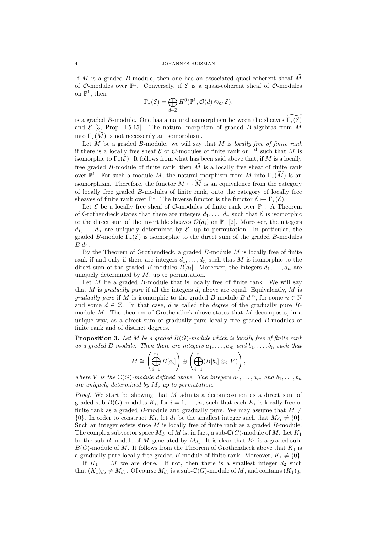If  $M$  is a graded  $B$ -module, then one has an associated quasi-coherent sheaf  $\tilde{M}$ of O-modules over  $\mathbb{P}^1$ . Conversely, if  $\mathcal E$  is a quasi-coherent sheaf of O-modules on  $\mathbb{P}^1$ , then

$$
\Gamma_{\star}(\mathcal{E}) = \bigoplus_{d \in \mathbb{Z}} H^0(\mathbb{P}^1, \mathcal{O}(d) \otimes_{\mathcal{O}} \mathcal{E}).
$$

is a graded B-module. One has a natural isomorphism between the sheaves  $\Gamma_\star(\mathcal{E})$ and  $\mathcal{E}$  [3, Prop II.5.15]. The natural morphism of graded B-algebras from M into  $\Gamma_{\star}(M)$  is not necessarily an isomorphism.

Let  $\overline{M}$  be a graded  $B$ -module. we will say that  $\overline{M}$  is locally free of finite rank if there is a locally free sheaf  $\mathcal E$  of  $\mathcal O$ -modules of finite rank on  $\mathbb P^1$  such that M is isomorphic to  $\Gamma_{\star}(\mathcal{E})$ . It follows from what has been said above that, if M is a locally free graded B-module of finite rank, then  $\tilde{M}$  is a locally free sheaf of finite rank over  $\mathbb{P}^1$ . For such a module M, the natural morphism from M into  $\Gamma_{\star}(\widetilde{M})$  is an isomorphism. Therefore, the functor  $M \mapsto \widetilde{M}$  is an equivalence from the category of locally free graded B-modules of finite rank, onto the category of locally free sheaves of finite rank over  $\mathbb{P}^1$ . The inverse functor is the functor  $\mathcal{E} \mapsto \Gamma_\star(\mathcal{E})$ .

Let  $\mathcal E$  be a locally free sheaf of  $\mathcal O$ -modules of finite rank over  $\mathbb P^1$ . A Theorem of Grothendieck states that there are integers  $d_1, \ldots, d_n$  such that  $\mathcal E$  is isomorphic to the direct sum of the invertible sheaves  $\mathcal{O}(d_i)$  on  $\mathbb{P}^1$  [2]. Moreover, the integers  $d_1, \ldots, d_n$  are uniquely determined by  $\mathcal{E}$ , up to permutation. In particular, the graded B-module  $\Gamma_{\star}(\mathcal{E})$  is isomorphic to the direct sum of the graded B-modules  $B[d_i].$ 

By the Theorem of Grothendieck, a graded  $B$ -module  $M$  is locally free of finite rank if and only if there are integers  $d_1, \ldots, d_n$  such that M is isomorphic to the direct sum of the graded B-modules  $B[d_i]$ . Moreover, the integers  $d_1, \ldots, d_n$  are uniquely determined by  $M$ , up to permutation.

Let  $M$  be a graded  $B$ -module that is locally free of finite rank. We will say that M is gradually pure if all the integers  $d_i$  above are equal. Equivalently, M is gradually pure if M is isomorphic to the graded B-module  $B[d]^n$ , for some  $n \in \mathbb{N}$ and some  $d \in \mathbb{Z}$ . In that case, d is called the *degree* of the gradually pure Bmodule  $M$ . The theorem of Grothendieck above states that  $M$  decomposes, in a unique way, as a direct sum of gradually pure locally free graded B-modules of finite rank and of distinct degrees.

**Proposition 3.** Let M be a graded  $B(G)$ -module which is locally free of finite rank as a graded B-module. Then there are integers  $a_1, \ldots, a_m$  and  $b_1, \ldots, b_n$  such that

$$
M \cong \left(\bigoplus_{i=1}^m B[a_i]\right) \oplus \left(\bigoplus_{i=1}^n (B[b_i] \otimes_{\mathbb{C}} V)\right),
$$

where V is the  $\mathbb{C}(G)$ -module defined above. The integers  $a_1, \ldots, a_m$  and  $b_1, \ldots, b_n$ are uniquely determined by M, up to permutation.

Proof. We start be showing that M admits a decomposition as a direct sum of graded sub- $B(G)$ -modules  $K_i$ , for  $i = 1, ..., n$ , such that each  $K_i$  is locally free of finite rank as a graded B-module and gradually pure. We may assume that  $M \neq$  ${0}.$  In order to construct  $K_1$ , let  $d_1$  be the smallest integer such that  $M_{d_1} \neq {0}.$ Such an integer exists since  $M$  is locally free of finite rank as a graded  $B$ -module. The complex subvector space  $M_{d_1}$  of M is, in fact, a sub-C(G)-module of M. Let  $K_1$ be the sub-B-module of M generated by  $M_{d_1}$ . It is clear that  $K_1$  is a graded sub- $B(G)$ -module of M. It follows from the Theorem of Grothendieck above that  $K_1$  is a gradually pure locally free graded B-module of finite rank. Moreover,  $K_1 \neq \{0\}$ .

If  $K_1 = M$  we are done. If not, then there is a smallest integer  $d_2$  such that  $(K_1)_{d_2} \neq M_{d_2}$ . Of course  $M_{d_2}$  is a sub-C(G)-module of M, and contains  $(K_1)_{d_2}$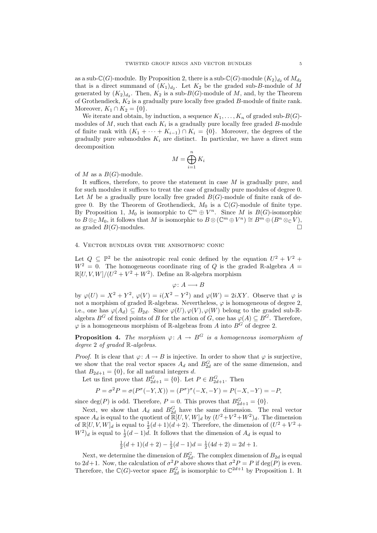as a sub- $\mathbb{C}(G)$ -module. By Proposition 2, there is a sub- $\mathbb{C}(G)$ -module  $(K_2)_{d_2}$  of  $M_{d_2}$ that is a direct summand of  $(K_1)_{d_2}$ . Let  $K_2$  be the graded sub-B-module of M generated by  $(K_2)_{d_2}$ . Then,  $K_2$  is a sub- $B(G)$ -module of M, and, by the Theorem of Grothendieck,  $K_2$  is a gradually pure locally free graded  $B$ -module of finite rank. Moreover,  $K_1 \cap K_2 = \{0\}.$ 

We iterate and obtain, by induction, a sequence  $K_1, \ldots, K_n$  of graded sub- $B(G)$ modules of  $M$ , such that each  $K_i$  is a gradually pure locally free graded  $B$ -module of finite rank with  $(K_1 + \cdots + K_{i-1}) \cap K_i = \{0\}$ . Moreover, the degrees of the gradually pure submodules  $K_i$  are distinct. In particular, we have a direct sum decomposition

$$
M = \bigoplus_{i=1}^{n} K_i
$$

of M as a  $B(G)$ -module.

It suffices, therefore, to prove the statement in case  $M$  is gradually pure, and for such modules it suffices to treat the case of gradually pure modules of degree 0. Let M be a gradually pure locally free graded  $B(G)$ -module of finite rank of degree 0. By the Theorem of Grothendieck,  $M_0$  is a  $\mathbb{C}(G)$ -module of finite type. By Proposition 1,  $M_0$  is isomorphic to  $\mathbb{C}^m \oplus V^n$ . Since M is  $B(G)$ -isomorphic to  $B\otimes_{\mathbb C} M_0$ , it follows that M is isomorphic to  $B\otimes (\mathbb C^m\oplus V^n)\cong B^m\oplus (B^n\otimes_{\mathbb C} V)$ , as graded  $B(G)$ -modules.

## 4. Vector bundles over the anisotropic conic

Let  $Q \subseteq \mathbb{P}^2$  be the anisotropic real conic defined by the equation  $U^2 + V^2 +$  $W^2 = 0$ . The homogeneous coordinate ring of Q is the graded R-algebra  $A =$  $\mathbb{R}[U, V, W]/(U^2 + V^2 + W^2)$ . Define an R-algebra morphism

 $\varphi\colon A\longrightarrow B$ 

by  $\varphi(U) = X^2 + Y^2$ ,  $\varphi(V) = i(X^2 - Y^2)$  and  $\varphi(W) = 2iXY$ . Observe that  $\varphi$  is not a morphism of graded R-algebras. Nevertheless,  $\varphi$  is homogeneous of degree 2, i.e., one has  $\varphi(A_d) \subseteq B_{2d}$ . Since  $\varphi(U), \varphi(V), \varphi(W)$  belong to the graded sub-Ralgebra  $B^G$  of fixed points of B for the action of G, one has  $\varphi(A) \subseteq B^G$ . Therefore,  $\varphi$  is a homogeneous morphism of R-algebras from A into  $B^G$  of degree 2.

**Proposition 4.** The morphism  $\varphi: A \to B^G$  is a homogeneous isomorphism of degree 2 of graded R-algebras.

*Proof.* It is clear that  $\varphi: A \to B$  is injective. In order to show that  $\varphi$  is surjective, we show that the real vector spaces  $A_d$  and  $B_{2d}^G$  are of the same dimension, and that  $B_{2d+1} = \{0\}$ , for all natural integers d.

Let us first prove that  $B_{2d+1}^G = \{0\}$ . Let  $P \in B_{2d+1}^G$ . Then

$$
P = \sigma^2 P = \sigma(P^{\sigma}(-Y, X)) = (P^{\sigma})^{\sigma}(-X, -Y) = P(-X, -Y) = -P,
$$

since  $deg(P)$  is odd. Therefore,  $P = 0$ . This proves that  $B_{2d+1}^G = \{0\}$ .

Next, we show that  $A_d$  and  $B_{2d}^G$  have the same dimension. The real vector space  $A_d$  is equal to the quotient of  $\mathbb{R}[U, V, W]_d$  by  $(U^2 + V^2 + W^2)_d$ . The dimension of  $\mathbb{R}[U, V, W]_d$  is equal to  $\frac{1}{2}(d+1)(d+2)$ . Therefore, the dimension of  $(U^2 + V^2 +$  $W^2$ <sub>d</sub> is equal to  $\frac{1}{2}(d-1)d$ . It follows that the dimension of  $A_d$  is equal to

$$
\frac{1}{2}(d+1)(d+2) - \frac{1}{2}(d-1)d = \frac{1}{2}(4d+2) = 2d+1.
$$

Next, we determine the dimension of  $B_{2d}^G$ . The complex dimension of  $B_{2d}$  is equal to  $2d+1$ . Now, the calculation of  $\sigma^2 P$  above shows that  $\sigma^2 P = P$  if  $deg(P)$  is even. Therefore, the  $\mathbb{C}(G)$ -vector space  $B_{2d}^G$  is isomorphic to  $\mathbb{C}^{2d+1}$  by Proposition 1. It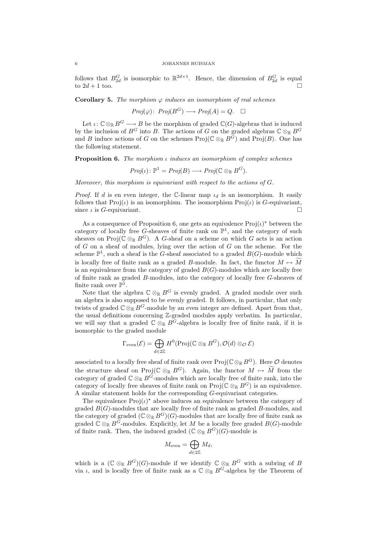#### 6 JOHANNES HUISMAN

follows that  $B_{2d}^G$  is isomorphic to  $\mathbb{R}^{2d+1}$ . Hence, the dimension of  $B_{2d}^G$  is equal to  $2d+1$  too.

**Corollary 5.** The morphism  $\varphi$  induces an isomorphism of real schemes

 $Proj(\varphi): Proj(B^G) \longrightarrow Proj(A) = Q. \quad \Box$ 

Let  $\iota: \mathbb{C} \otimes_{\mathbb{R}} B^G \longrightarrow B$  be the morphism of graded  $\mathbb{C}(G)$ -algebras that is induced by the inclusion of  $B^G$  into B. The actions of G on the graded algebras  $\mathbb{C} \otimes_{\mathbb{R}} B^G$ and B induce actions of G on the schemes Proj( $\mathbb{C} \otimes_{\mathbb{R}} B\tilde{G}$ ) and Proj(B). One has the following statement.

**Proposition 6.** The morphism  $\iota$  induces an isomorphism of complex schemes

$$
Proj(\iota): \mathbb{P}^1 = Proj(B) \longrightarrow Proj(\mathbb{C} \otimes_{\mathbb{R}} B^G).
$$

Moreover, this morphism is equivariant with respect to the actions of  $G$ .

*Proof.* If d is en even integer, the C-linear map  $\iota_d$  is an isomorphism. It easily follows that  $\text{Proj}(t)$  is an isomorphism. The isomorphism  $\text{Proj}(t)$  is G-equivariant, since  $\iota$  is *G*-equivariant.

As a consequence of Proposition 6, one gets an equivalence  $\text{Proj}(\iota)^*$  between the category of locally free G-sheaves of finite rank on  $\mathbb{P}^1$ , and the category of such sheaves on Proj( $\mathbb{C} \otimes_{\mathbb{R}} B^G$ ). A G-sheaf on a scheme on which G acts is an action of  $G$  on a sheaf of modules, lying over the action of  $G$  on the scheme. For the scheme  $\mathbb{P}^1$ , such a sheaf is the G-sheaf associated to a graded  $B(G)$ -module which is locally free of finite rank as a graded B-module. In fact, the functor  $M \mapsto \widetilde{M}$ is an equivalence from the category of graded  $B(G)$ -modules which are locally free of finite rank as graded B-modules, into the category of locally free G-sheaves of finite rank over  $\mathbb{P}^1$ .

Note that the algebra  $\mathbb{C} \otimes_{\mathbb{R}} B^G$  is evenly graded. A graded module over such an algebra is also supposed to be evenly graded. It follows, in particular, that only twists of graded  $\mathbb{C} \otimes_{\mathbb{R}} B^G$ -module by an even integer are defined. Apart from that, the usual definitions concerning Z-graded modules apply verbatim. In particular, we will say that a graded  $\mathbb{C} \otimes_{\mathbb{R}} B^G$ -algebra is locally free of finite rank, if it is isomorphic to the graded module

$$
\Gamma_{\text{even}}(\mathcal{E}) = \bigoplus_{d \in 2\mathbb{Z}} H^0(\text{Proj}(\mathbb{C} \otimes_{\mathbb{R}} B^G), \mathcal{O}(d) \otimes_{\mathcal{O}} \mathcal{E})
$$

associated to a locally free sheaf of finite rank over  $\text{Proj}(\mathbb{C}\otimes_{\mathbb{R}} B^G)$ . Here  $\mathcal O$  denotes the structure sheaf on Proj( $\mathbb{C} \otimes_{\mathbb{R}} B^G$ ). Again, the functor  $M \mapsto \widetilde{M}$  from the category of graded  $\mathbb{C} \otimes_{\mathbb{R}} B^{\tilde{G}}$ -modules which are locally free of finite rank, into the category of locally free sheaves of finite rank on  $\text{Proj}(\mathbb{C} \otimes_{\mathbb{R}} B^G)$  is an equivalence. A similar statement holds for the corresponding G-equivariant categories.

The equivalence  $\text{Proj}(\iota)^*$  above induces an equivalence between the category of graded  $B(G)$ -modules that are locally free of finite rank as graded  $B$ -modules, and the category of graded  $(\mathbb{C} \otimes_{\mathbb{R}} B^G)(G)$ -modules that are locally free of finite rank as graded  $\check{\mathbb{C}} \otimes_{\mathbb{R}} B\check{G}$ -modules. Explicitly, let M be a locally free graded  $B(G)$ -module of finite rank. Then, the induced graded  $(\mathbb{C} \otimes_{\mathbb{R}} B^G)(G)$ -module is

$$
M_{\text{even}} = \bigoplus_{d \in 2\mathbb{Z}} M_d,
$$

which is a  $(\mathbb{C} \otimes_{\mathbb{R}} B^G)(G)$ -module if we identify  $\mathbb{C} \otimes_{\mathbb{R}} B^G$  with a subring of B via  $\iota$ , and is locally free of finite rank as a  $\mathbb{C} \otimes_{\mathbb{R}} B^G$ -algebra by the Theorem of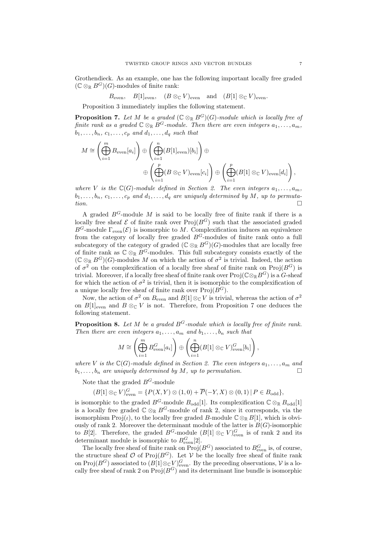Grothendieck. As an example, one has the following important locally free graded  $(\mathbb{C} \otimes_{\mathbb{R}} B^G)(G)$ -modules of finite rank:

 $B_{\text{even}}$ ,  $B[1]_{\text{even}}$ ,  $(B \otimes_{\mathbb{C}} V)_{\text{even}}$  and  $(B[1] \otimes_{\mathbb{C}} V)_{\text{even}}$ .

Proposition 3 immediately implies the following statement.

**Proposition 7.** Let M be a graded  $(\mathbb{C} \otimes_{\mathbb{R}} B^G)(G)$ -module which is locally free of finite rank as a graded  $\mathbb{C} \otimes_{\mathbb{R}} B^G$ -module. Then there are even integers  $a_1, \ldots, a_m$ ,  $b_1, \ldots, b_n, c_1, \ldots, c_p$  and  $d_1, \ldots, d_q$  such that

$$
M \cong \left(\bigoplus_{i=1}^{m} B_{\text{even}}[a_i]\right) \oplus \left(\bigoplus_{i=1}^{n} (B[1]_{\text{even}})[b_i]\right) \oplus
$$
  

$$
\oplus \left(\bigoplus_{i=1}^{p} (B \otimes_{\mathbb{C}} V)_{\text{even}}[c_i]\right) \oplus \left(\bigoplus_{i=1}^{p} (B[1] \otimes_{\mathbb{C}} V)_{\text{even}}[d_i]\right),
$$

where V is the  $\mathbb{C}(G)$ -module defined in Section 2. The even integers  $a_1, \ldots, a_m$ .  $b_1, \ldots, b_n, c_1, \ldots, c_p$  and  $d_1, \ldots, d_q$  are uniquely determined by M, up to permuta- $\Box$  tion.

A graded  $B^G$ -module M is said to be locally free of finite rank if there is a locally free sheaf  $\mathcal E$  of finite rank over  $\text{Proj}(B^G)$  such that the associated graded  $B^G$ -module  $\Gamma_{\text{even}}(\mathcal{E})$  is isomorphic to M. Complexification induces an equivalence from the category of locally free graded  $B<sup>G</sup>$ -modules of finite rank onto a full subcategory of the category of graded ( $\mathbb{C} \otimes_{\mathbb{R}} B^G$ )(G)-modules that are locally free of finite rank as  $\mathbb{C} \otimes_{\mathbb{R}} B^G$ -modules. This full subcategory consists exactly of the  $(\mathbb{C} \otimes_{\mathbb{R}} B^G)(G)$ -modules M on which the action of  $\sigma^2$  is trivial. Indeed, the action of  $\sigma^2$  on the complexification of a locally free sheaf of finite rank on Proj $(B^G)$  is trivial. Moreover, if a locally free sheaf of finite rank over  $\text{Proj}(\mathbb{C}\otimes_{\mathbb{R}}B^G)$  is a  $G$ -sheaf for which the action of  $\sigma^2$  is trivial, then it is isomorphic to the complexification of a unique locally free sheaf of finite rank over  $\text{Proj}(B^G)$ .

Now, the action of  $\sigma^2$  on  $B_{\text{even}}$  and  $B[1] \otimes_{\mathbb{C}} V$  is trivial, whereas the action of  $\sigma^2$ on  $B[1]_{\text{even}}$  and  $B \otimes_{\mathbb{C}} V$  is not. Therefore, from Proposition 7 one deduces the following statement.

**Proposition 8.** Let M be a graded  $B^G$ -module which is locally free of finite rank. Then there are even integers  $a_1, \ldots, a_m$  and  $b_1, \ldots, b_n$  such that

$$
M \cong \left(\bigoplus_{i=1}^{m} B_{\text{even}}^{G}[a_i]\right) \oplus \left(\bigoplus_{i=1}^{n} (B[1] \otimes_{\mathbb{C}} V)_{\text{even}}^{G}[b_i]\right),
$$

where V is the  $\mathbb{C}(G)$ -module defined in Section 2. The even integers  $a_1, \ldots, a_m$  and  $b_1, \ldots, b_n$  are uniquely determined by M, up to permutation.

Note that the graded  $B^G$ -module

 $(B[1] \otimes_{\mathbb{C}} V)^{G}_{\text{even}} = \{P(X,Y) \otimes (1,0) + \overline{P}(-Y,X) \otimes (0,1) | P \in B_{\text{odd}}\},\$ 

is isomorphic to the graded  $B^G$ -module  $B_{\text{odd}}[1]$ . Its complexification  $\mathbb{C} \otimes_{\mathbb{R}} B_{\text{odd}}[1]$ is a locally free graded  $\mathbb{C} \otimes_{\mathbb{R}} B^G$ -module of rank 2, since it corresponds, via the isomorphism  $\text{Proj}(\iota)$ , to the locally free graded B-module  $\mathbb{C}\otimes_{\mathbb{R}} B[1]$ , which is obviously of rank 2. Moreover the determinant module of the latter is  $B(G)$ -isomorphic to B[2]. Therefore, the graded  $B^G$ -module  $(B[1] \otimes_{\mathbb{C}} V)^G_{\text{even}}$  is of rank 2 and its determinant module is isomorphic to  $B_{\text{even}}^G[2]$ .

The locally free sheaf of finite rank on  $\text{Proj}(B^G)$  associated to  $B^G_{\text{even}}$  is, of course, the structure sheaf  $\mathcal O$  of Proj $(B^G)$ . Let  $\mathcal V$  be the locally free sheaf of finite rank on Proj $(B^G)$  associated to  $(B[1]\otimes_{\mathbb{C}} V)^G_{\text{even}}$ . By the preceding observations, V is a locally free sheaf of rank 2 on  $Proj(B^G)$  and its determinant line bundle is isomorphic